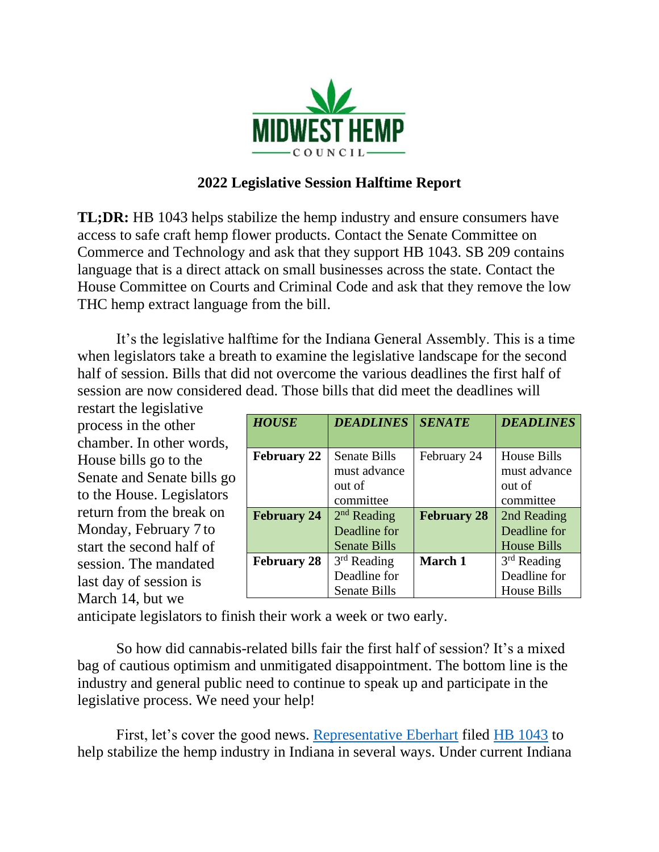

## **2022 Legislative Session Halftime Report**

**TL;DR:** HB 1043 helps stabilize the hemp industry and ensure consumers have access to safe craft hemp flower products. Contact the Senate Committee on Commerce and Technology and ask that they support HB 1043. SB 209 contains language that is a direct attack on small businesses across the state. Contact the House Committee on Courts and Criminal Code and ask that they remove the low THC hemp extract language from the bill.

It's the legislative halftime for the Indiana General Assembly. This is a time when legislators take a breath to examine the legislative landscape for the second half of session. Bills that did not overcome the various deadlines the first half of session are now considered dead. Those bills that did meet the deadlines will

restart the legislative process in the other chamber. In other words, House bills go to the Senate and Senate bills go to the House. Legislators return from the break on Monday, February 7 to start the second half of session. The mandated last day of session is March 14, but we

| <b>HOUSE</b>       | <b>DEADLINES</b>                    | <b>SENATE</b>      | <b>DEADLINES</b>                   |
|--------------------|-------------------------------------|--------------------|------------------------------------|
| <b>February 22</b> | <b>Senate Bills</b>                 | February 24        | <b>House Bills</b>                 |
|                    | must advance<br>out of              |                    | must advance<br>out of             |
| <b>February 24</b> | committee<br>$2nd$ Reading          | <b>February 28</b> | committee<br>2nd Reading           |
|                    | Deadline for<br><b>Senate Bills</b> |                    | Deadline for<br><b>House Bills</b> |
| <b>February 28</b> | $3rd$ Reading<br>Deadline for       | March 1            | $3rd$ Reading<br>Deadline for      |
|                    | <b>Senate Bills</b>                 |                    | House Bills                        |

anticipate legislators to finish their work a week or two early.

So how did cannabis-related bills fair the first half of session? It's a mixed bag of cautious optimism and unmitigated disappointment. The bottom line is the industry and general public need to continue to speak up and participate in the legislative process. We need your help!

First, let's cover the good news. [Representative Eberhart](https://www.indianahouserepublicans.com/members/general/sean-eberhart/?back=members) filed [HB 1043](http://iga.in.gov/legislative/2022/bills/house/1043) to help stabilize the hemp industry in Indiana in several ways. Under current Indiana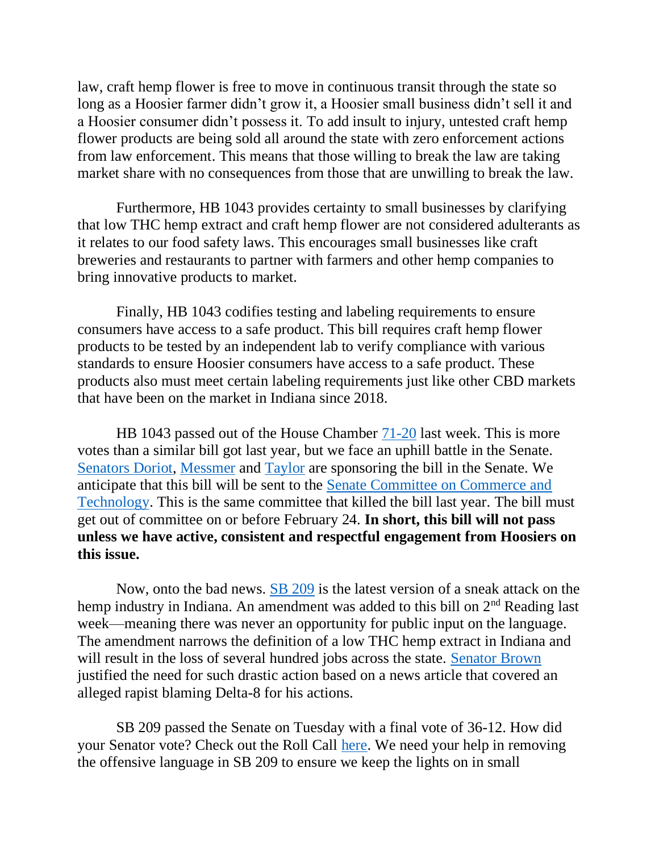law, craft hemp flower is free to move in continuous transit through the state so long as a Hoosier farmer didn't grow it, a Hoosier small business didn't sell it and a Hoosier consumer didn't possess it. To add insult to injury, untested craft hemp flower products are being sold all around the state with zero enforcement actions from law enforcement. This means that those willing to break the law are taking market share with no consequences from those that are unwilling to break the law.

Furthermore, HB 1043 provides certainty to small businesses by clarifying that low THC hemp extract and craft hemp flower are not considered adulterants as it relates to our food safety laws. This encourages small businesses like craft breweries and restaurants to partner with farmers and other hemp companies to bring innovative products to market.

Finally, HB 1043 codifies testing and labeling requirements to ensure consumers have access to a safe product. This bill requires craft hemp flower products to be tested by an independent lab to verify compliance with various standards to ensure Hoosier consumers have access to a safe product. These products also must meet certain labeling requirements just like other CBD markets that have been on the market in Indiana since 2018.

HB 1043 passed out of the House Chamber [71-20](http://iga.in.gov/documents/3d8364da) last week. This is more votes than a similar bill got last year, but we face an uphill battle in the Senate. [Senators Doriot,](https://www.indianasenaterepublicans.com/doriot) [Messmer](https://www.indianasenaterepublicans.com/messmer) and [Taylor](https://www.indianasenatedemocrats.org/senators/s33/) are sponsoring the bill in the Senate. We anticipate that this bill will be sent to the [Senate Committee on Commerce and](http://iga.in.gov/legislative/2022/committees/commerce_technology)  [Technology.](http://iga.in.gov/legislative/2022/committees/commerce_technology) This is the same committee that killed the bill last year. The bill must get out of committee on or before February 24. **In short, this bill will not pass unless we have active, consistent and respectful engagement from Hoosiers on this issue.** 

Now, onto the bad news. [SB 209](http://iga.in.gov/legislative/2022/bills/senate/209) is the latest version of a sneak attack on the hemp industry in Indiana. An amendment was added to this bill on 2<sup>nd</sup> Reading last week—meaning there was never an opportunity for public input on the language. The amendment narrows the definition of a low THC hemp extract in Indiana and will result in the loss of several hundred jobs across the state. [Senator Brown](https://www.indianasenaterepublicans.com/brown) justified the need for such drastic action based on a news article that covered an alleged rapist blaming Delta-8 for his actions.

SB 209 passed the Senate on Tuesday with a final vote of 36-12. How did your Senator vote? Check out the Roll Call [here.](http://iga.in.gov/documents/b36f13ca) We need your help in removing the offensive language in SB 209 to ensure we keep the lights on in small